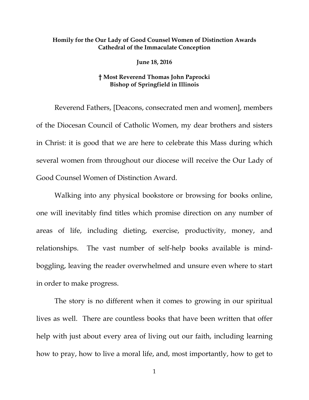## **Homily for the Our Lady of Good Counsel Women of Distinction Awards Cathedral of the Immaculate Conception**

**June 18, 2016**

## **† Most Reverend Thomas John Paprocki Bishop of Springfield in Illinois**

Reverend Fathers, [Deacons, consecrated men and women], members of the Diocesan Council of Catholic Women, my dear brothers and sisters in Christ: it is good that we are here to celebrate this Mass during which several women from throughout our diocese will receive the Our Lady of Good Counsel Women of Distinction Award.

Walking into any physical bookstore or browsing for books online, one will inevitably find titles which promise direction on any number of areas of life, including dieting, exercise, productivity, money, and relationships. The vast number of self-help books available is mindboggling, leaving the reader overwhelmed and unsure even where to start in order to make progress.

The story is no different when it comes to growing in our spiritual lives as well. There are countless books that have been written that offer help with just about every area of living out our faith, including learning how to pray, how to live a moral life, and, most importantly, how to get to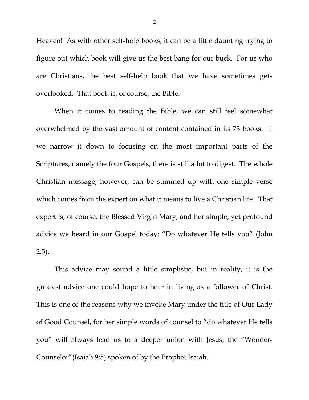Heaven! As with other self-help books, it can be a little daunting trying to figure out which book will give us the best bang for our buck. For us who are Christians, the best self-help book that we have sometimes gets overlooked. That book is, of course, the Bible.

When it comes to reading the Bible, we can still feel somewhat overwhelmed by the vast amount of content contained in its 73 books. If we narrow it down to focusing on the most important parts of the Scriptures, namely the four Gospels, there is still a lot to digest. The whole Christian message, however, can be summed up with one simple verse which comes from the expert on what it means to live a Christian life. That expert is, of course, the Blessed Virgin Mary, and her simple, yet profound advice we heard in our Gospel today: "Do whatever He tells you" (John 2:5).

This advice may sound a little simplistic, but in reality, it is the greatest advice one could hope to hear in living as a follower of Christ. This is one of the reasons why we invoke Mary under the title of Our Lady of Good Counsel, for her simple words of counsel to "do whatever He tells you" will always lead us to a deeper union with Jesus, the "Wonder-Counselor"(Isaiah 9:5) spoken of by the Prophet Isaiah.

2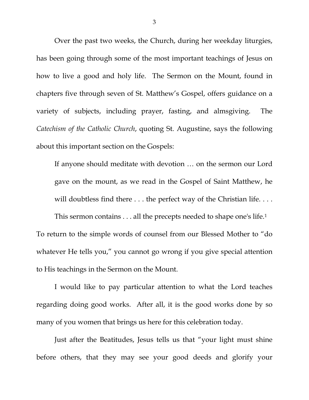Over the past two weeks, the Church, during her weekday liturgies, has been going through some of the most important teachings of Jesus on how to live a good and holy life. The Sermon on the Mount, found in chapters five through seven of St. Matthew's Gospel, offers guidance on a variety of subjects, including prayer, fasting, and almsgiving. The *Catechism of the Catholic Church*, quoting St. Augustine, says the following about this important section on the Gospels:

If anyone should meditate with devotion … on the sermon our Lord gave on the mount, as we read in the Gospel of Saint Matthew, he will doubtless find there . . . the perfect way of the Christian life. . . .

This sermon contains . . . all the precepts needed to shape one's life.[1](#page-5-0) To return to the simple words of counsel from our Blessed Mother to "do whatever He tells you," you cannot go wrong if you give special attention to His teachings in the Sermon on the Mount.

I would like to pay particular attention to what the Lord teaches regarding doing good works. After all, it is the good works done by so many of you women that brings us here for this celebration today.

Just after the Beatitudes, Jesus tells us that "your light must shine before others, that they may see your good deeds and glorify your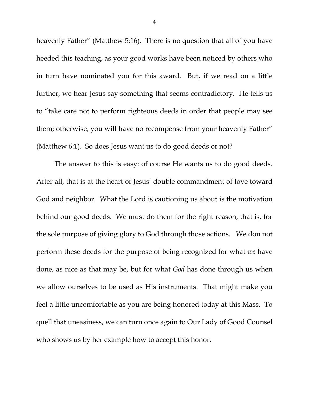heavenly Father" (Matthew 5:16). There is no question that all of you have heeded this teaching, as your good works have been noticed by others who in turn have nominated you for this award. But, if we read on a little further, we hear Jesus say something that seems contradictory. He tells us to "take care not to perform righteous deeds in order that people may see them; otherwise, you will have no recompense from your heavenly Father" (Matthew 6:1). So does Jesus want us to do good deeds or not?

The answer to this is easy: of course He wants us to do good deeds. After all, that is at the heart of Jesus' double commandment of love toward God and neighbor. What the Lord is cautioning us about is the motivation behind our good deeds. We must do them for the right reason, that is, for the sole purpose of giving glory to God through those actions. We don not perform these deeds for the purpose of being recognized for what *we* have done, as nice as that may be, but for what *God* has done through us when we allow ourselves to be used as His instruments. That might make you feel a little uncomfortable as you are being honored today at this Mass. To quell that uneasiness, we can turn once again to Our Lady of Good Counsel who shows us by her example how to accept this honor.

4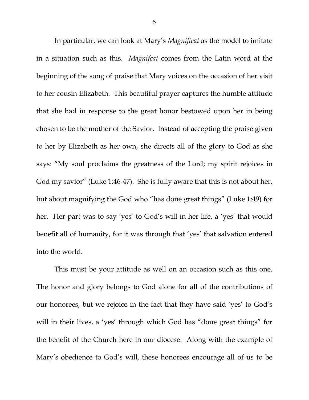In particular, we can look at Mary's *Magnificat* as the model to imitate in a situation such as this. *Magnifcat* comes from the Latin word at the beginning of the song of praise that Mary voices on the occasion of her visit to her cousin Elizabeth. This beautiful prayer captures the humble attitude that she had in response to the great honor bestowed upon her in being chosen to be the mother of the Savior. Instead of accepting the praise given to her by Elizabeth as her own, she directs all of the glory to God as she says: "My soul proclaims the greatness of the Lord; my spirit rejoices in God my savior" (Luke 1:46-47). She is fully aware that this is not about her, but about magnifying the God who "has done great things" (Luke 1:49) for her. Her part was to say 'yes' to God's will in her life, a 'yes' that would benefit all of humanity, for it was through that 'yes' that salvation entered into the world.

This must be your attitude as well on an occasion such as this one. The honor and glory belongs to God alone for all of the contributions of our honorees, but we rejoice in the fact that they have said 'yes' to God's will in their lives, a 'yes' through which God has "done great things" for the benefit of the Church here in our diocese. Along with the example of Mary's obedience to God's will, these honorees encourage all of us to be